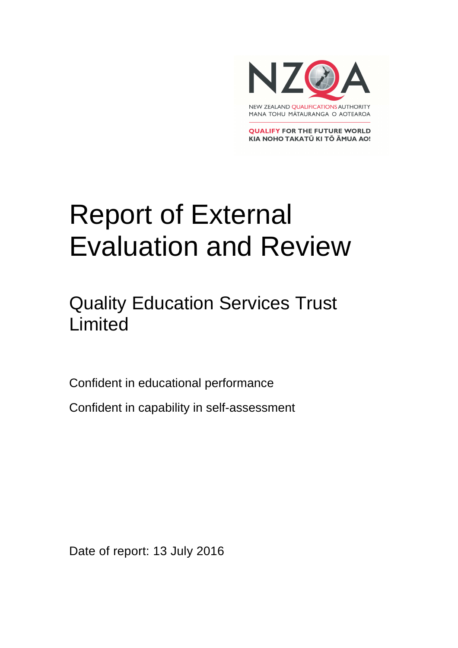

**QUALIFY FOR THE FUTURE WORLD** KIA NOHO TAKATŪ KI TŌ ĀMUA AO!

# Report of External Evaluation and Review

### Quality Education Services Trust Limited

Confident in educational performance

Confident in capability in self-assessment

Date of report: 13 July 2016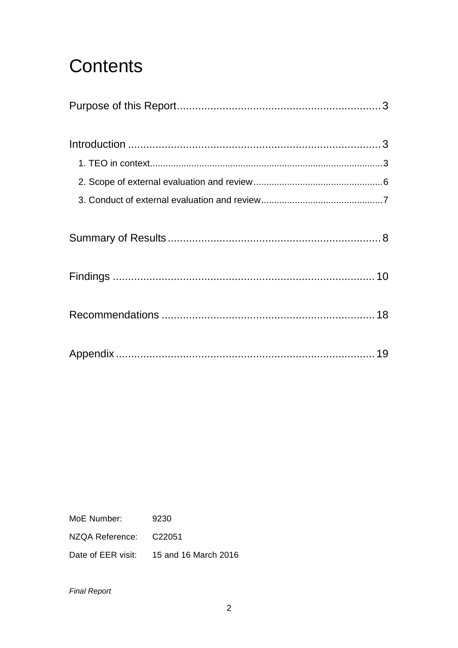## **Contents**

MoE Number: 9230 NZQA Reference: C22051

Date of EER visit: 15 and 16 March 2016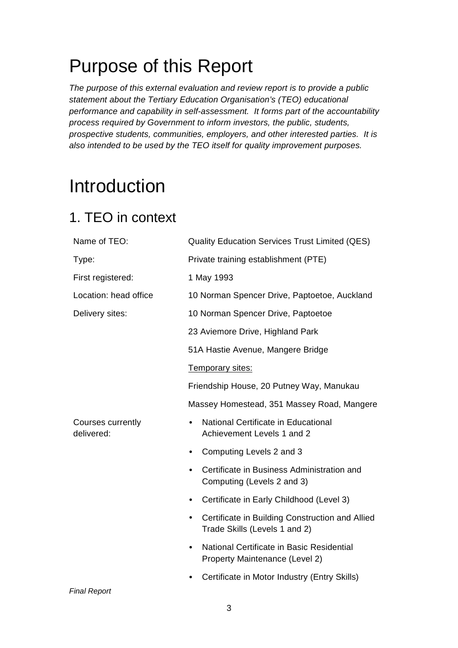## Purpose of this Report

The purpose of this external evaluation and review report is to provide a public statement about the Tertiary Education Organisation's (TEO) educational performance and capability in self-assessment. It forms part of the accountability process required by Government to inform investors, the public, students, prospective students, communities, employers, and other interested parties. It is also intended to be used by the TEO itself for quality improvement purposes.

## Introduction

### 1. TEO in context

| Name of TEO:                    | <b>Quality Education Services Trust Limited (QES)</b>                            |  |  |
|---------------------------------|----------------------------------------------------------------------------------|--|--|
| Type:                           | Private training establishment (PTE)                                             |  |  |
| First registered:               | 1 May 1993                                                                       |  |  |
| Location: head office           | 10 Norman Spencer Drive, Paptoetoe, Auckland                                     |  |  |
| Delivery sites:                 | 10 Norman Spencer Drive, Paptoetoe                                               |  |  |
|                                 | 23 Aviemore Drive, Highland Park                                                 |  |  |
|                                 | 51A Hastie Avenue, Mangere Bridge                                                |  |  |
|                                 | Temporary sites:                                                                 |  |  |
|                                 | Friendship House, 20 Putney Way, Manukau                                         |  |  |
|                                 | Massey Homestead, 351 Massey Road, Mangere                                       |  |  |
| Courses currently<br>delivered: | National Certificate in Educational<br>Achievement Levels 1 and 2                |  |  |
|                                 | Computing Levels 2 and 3<br>$\bullet$                                            |  |  |
|                                 | Certificate in Business Administration and<br>Computing (Levels 2 and 3)         |  |  |
|                                 | Certificate in Early Childhood (Level 3)                                         |  |  |
|                                 | Certificate in Building Construction and Allied<br>Trade Skills (Levels 1 and 2) |  |  |
|                                 | National Certificate in Basic Residential<br>Property Maintenance (Level 2)      |  |  |
|                                 | Certificate in Motor Industry (Entry Skills)                                     |  |  |
| <b>Final Report</b>             |                                                                                  |  |  |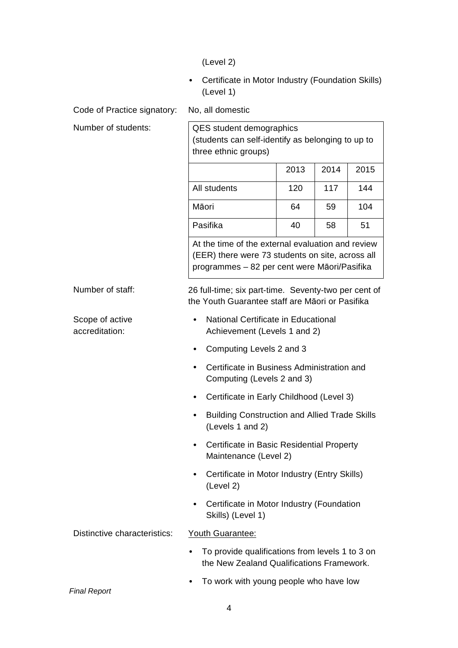(Level 2)

• Certificate in Motor Industry (Foundation Skills) (Level 1)

Code of Practice signatory: No, all domestic

| Number of students:               | <b>QES</b> student demographics<br>(students can self-identify as belonging to up to<br>three ethnic groups)                                          |      |      |      |  |
|-----------------------------------|-------------------------------------------------------------------------------------------------------------------------------------------------------|------|------|------|--|
|                                   |                                                                                                                                                       | 2013 | 2014 | 2015 |  |
|                                   | All students                                                                                                                                          | 120  | 117  | 144  |  |
|                                   | Māori                                                                                                                                                 | 64   | 59   | 104  |  |
|                                   | Pasifika                                                                                                                                              | 40   | 58   | 51   |  |
|                                   | At the time of the external evaluation and review<br>(EER) there were 73 students on site, across all<br>programmes - 82 per cent were Māori/Pasifika |      |      |      |  |
| Number of staff:                  | 26 full-time; six part-time. Seventy-two per cent of<br>the Youth Guarantee staff are Māori or Pasifika                                               |      |      |      |  |
| Scope of active<br>accreditation: | National Certificate in Educational<br>Achievement (Levels 1 and 2)                                                                                   |      |      |      |  |
|                                   | Computing Levels 2 and 3                                                                                                                              |      |      |      |  |
|                                   | Certificate in Business Administration and<br>Computing (Levels 2 and 3)                                                                              |      |      |      |  |
|                                   | Certificate in Early Childhood (Level 3)                                                                                                              |      |      |      |  |
|                                   | <b>Building Construction and Allied Trade Skills</b><br>(Levels 1 and 2)                                                                              |      |      |      |  |
|                                   | Certificate in Basic Residential Property<br>Maintenance (Level 2)                                                                                    |      |      |      |  |
|                                   | Certificate in Motor Industry (Entry Skills)<br>(Level 2)                                                                                             |      |      |      |  |
|                                   | Certificate in Motor Industry (Foundation<br>Skills) (Level 1)                                                                                        |      |      |      |  |
| Distinctive characteristics:      | Youth Guarantee:                                                                                                                                      |      |      |      |  |
|                                   | To provide qualifications from levels 1 to 3 on<br>the New Zealand Qualifications Framework.                                                          |      |      |      |  |
|                                   | To work with young people who have low                                                                                                                |      |      |      |  |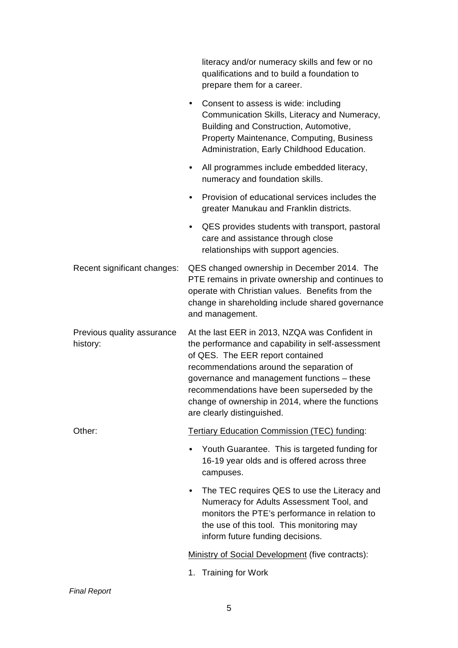|                                        | literacy and/or numeracy skills and few or no<br>qualifications and to build a foundation to<br>prepare them for a career.                                                                                                                                                                                                                                          |  |
|----------------------------------------|---------------------------------------------------------------------------------------------------------------------------------------------------------------------------------------------------------------------------------------------------------------------------------------------------------------------------------------------------------------------|--|
|                                        | Consent to assess is wide: including<br>$\bullet$<br>Communication Skills, Literacy and Numeracy,<br>Building and Construction, Automotive,<br><b>Property Maintenance, Computing, Business</b><br>Administration, Early Childhood Education.                                                                                                                       |  |
|                                        | All programmes include embedded literacy,<br>$\bullet$<br>numeracy and foundation skills.                                                                                                                                                                                                                                                                           |  |
|                                        | Provision of educational services includes the<br>$\bullet$<br>greater Manukau and Franklin districts.                                                                                                                                                                                                                                                              |  |
|                                        | QES provides students with transport, pastoral<br>$\bullet$<br>care and assistance through close<br>relationships with support agencies.                                                                                                                                                                                                                            |  |
| Recent significant changes:            | QES changed ownership in December 2014. The<br>PTE remains in private ownership and continues to<br>operate with Christian values. Benefits from the<br>change in shareholding include shared governance<br>and management.                                                                                                                                         |  |
| Previous quality assurance<br>history: | At the last EER in 2013, NZQA was Confident in<br>the performance and capability in self-assessment<br>of QES. The EER report contained<br>recommendations around the separation of<br>governance and management functions - these<br>recommendations have been superseded by the<br>change of ownership in 2014, where the functions<br>are clearly distinguished. |  |
| Other:                                 | <b>Tertiary Education Commission (TEC) funding:</b>                                                                                                                                                                                                                                                                                                                 |  |
|                                        | Youth Guarantee. This is targeted funding for<br>16-19 year olds and is offered across three<br>campuses.                                                                                                                                                                                                                                                           |  |
|                                        | The TEC requires QES to use the Literacy and<br>$\bullet$<br>Numeracy for Adults Assessment Tool, and<br>monitors the PTE's performance in relation to<br>the use of this tool. This monitoring may<br>inform future funding decisions.                                                                                                                             |  |
|                                        | Ministry of Social Development (five contracts):                                                                                                                                                                                                                                                                                                                    |  |
|                                        | 1. Training for Work                                                                                                                                                                                                                                                                                                                                                |  |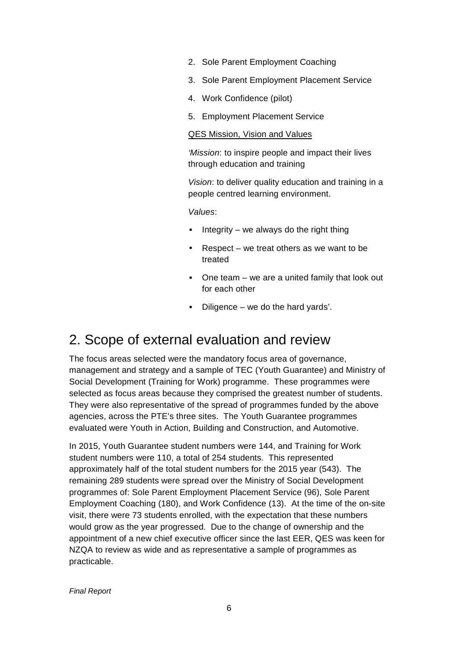- 2. Sole Parent Employment Coaching
- 3. Sole Parent Employment Placement Service
- 4. Work Confidence (pilot)
- 5. Employment Placement Service

#### QES Mission, Vision and Values

'Mission: to inspire people and impact their lives through education and training

Vision: to deliver quality education and training in a people centred learning environment.

Values:

- Integrity we always do the right thing
- $Respect we treat others as we want to be$ treated
- One team we are a united family that look out for each other
- Diligence we do the hard yards'.

### 2. Scope of external evaluation and review

The focus areas selected were the mandatory focus area of governance, management and strategy and a sample of TEC (Youth Guarantee) and Ministry of Social Development (Training for Work) programme. These programmes were selected as focus areas because they comprised the greatest number of students. They were also representative of the spread of programmes funded by the above agencies, across the PTE's three sites. The Youth Guarantee programmes evaluated were Youth in Action, Building and Construction, and Automotive.

In 2015, Youth Guarantee student numbers were 144, and Training for Work student numbers were 110, a total of 254 students. This represented approximately half of the total student numbers for the 2015 year (543). The remaining 289 students were spread over the Ministry of Social Development programmes of: Sole Parent Employment Placement Service (96), Sole Parent Employment Coaching (180), and Work Confidence (13). At the time of the on-site visit, there were 73 students enrolled, with the expectation that these numbers would grow as the year progressed. Due to the change of ownership and the appointment of a new chief executive officer since the last EER, QES was keen for NZQA to review as wide and as representative a sample of programmes as practicable.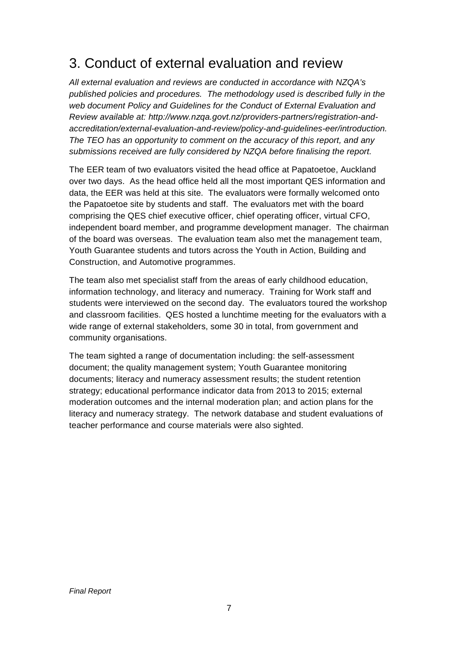### 3. Conduct of external evaluation and review

All external evaluation and reviews are conducted in accordance with NZQA's published policies and procedures. The methodology used is described fully in the web document Policy and Guidelines for the Conduct of External Evaluation and Review available at: http://www.nzqa.govt.nz/providers-partners/registration-andaccreditation/external-evaluation-and-review/policy-and-guidelines-eer/introduction. The TEO has an opportunity to comment on the accuracy of this report, and any submissions received are fully considered by NZQA before finalising the report.

The EER team of two evaluators visited the head office at Papatoetoe, Auckland over two days. As the head office held all the most important QES information and data, the EER was held at this site. The evaluators were formally welcomed onto the Papatoetoe site by students and staff. The evaluators met with the board comprising the QES chief executive officer, chief operating officer, virtual CFO, independent board member, and programme development manager. The chairman of the board was overseas. The evaluation team also met the management team, Youth Guarantee students and tutors across the Youth in Action, Building and Construction, and Automotive programmes.

The team also met specialist staff from the areas of early childhood education, information technology, and literacy and numeracy. Training for Work staff and students were interviewed on the second day. The evaluators toured the workshop and classroom facilities. QES hosted a lunchtime meeting for the evaluators with a wide range of external stakeholders, some 30 in total, from government and community organisations.

The team sighted a range of documentation including: the self-assessment document; the quality management system; Youth Guarantee monitoring documents; literacy and numeracy assessment results; the student retention strategy; educational performance indicator data from 2013 to 2015; external moderation outcomes and the internal moderation plan; and action plans for the literacy and numeracy strategy. The network database and student evaluations of teacher performance and course materials were also sighted.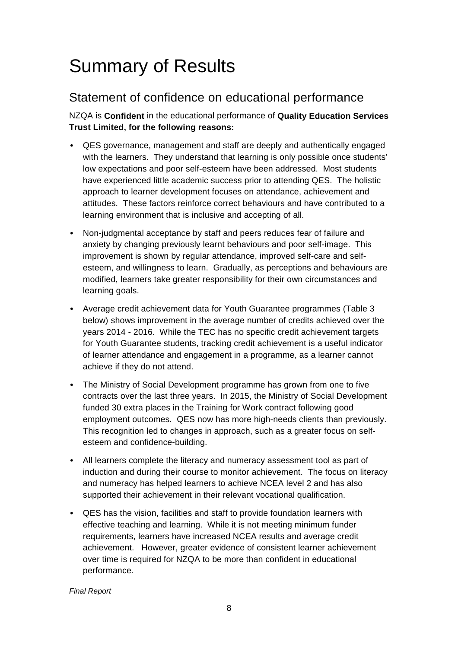## Summary of Results

### Statement of confidence on educational performance

NZQA is **Confident** in the educational performance of **Quality Education Services Trust Limited, for the following reasons:** 

- QES governance, management and staff are deeply and authentically engaged with the learners. They understand that learning is only possible once students' low expectations and poor self-esteem have been addressed. Most students have experienced little academic success prior to attending QES. The holistic approach to learner development focuses on attendance, achievement and attitudes. These factors reinforce correct behaviours and have contributed to a learning environment that is inclusive and accepting of all.
- Non-judgmental acceptance by staff and peers reduces fear of failure and anxiety by changing previously learnt behaviours and poor self-image. This improvement is shown by regular attendance, improved self-care and selfesteem, and willingness to learn. Gradually, as perceptions and behaviours are modified, learners take greater responsibility for their own circumstances and learning goals.
- Average credit achievement data for Youth Guarantee programmes (Table 3 below) shows improvement in the average number of credits achieved over the years 2014 - 2016. While the TEC has no specific credit achievement targets for Youth Guarantee students, tracking credit achievement is a useful indicator of learner attendance and engagement in a programme, as a learner cannot achieve if they do not attend.
- The Ministry of Social Development programme has grown from one to five contracts over the last three years. In 2015, the Ministry of Social Development funded 30 extra places in the Training for Work contract following good employment outcomes. QES now has more high-needs clients than previously. This recognition led to changes in approach, such as a greater focus on selfesteem and confidence-building.
- All learners complete the literacy and numeracy assessment tool as part of induction and during their course to monitor achievement. The focus on literacy and numeracy has helped learners to achieve NCEA level 2 and has also supported their achievement in their relevant vocational qualification.
- QES has the vision, facilities and staff to provide foundation learners with effective teaching and learning. While it is not meeting minimum funder requirements, learners have increased NCEA results and average credit achievement. However, greater evidence of consistent learner achievement over time is required for NZQA to be more than confident in educational performance.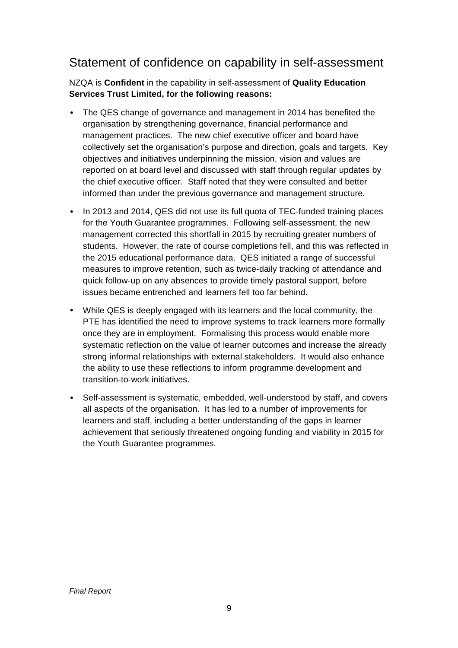### Statement of confidence on capability in self-assessment

NZQA is **Confident** in the capability in self-assessment of **Quality Education Services Trust Limited, for the following reasons:**

- The QES change of governance and management in 2014 has benefited the organisation by strengthening governance, financial performance and management practices. The new chief executive officer and board have collectively set the organisation's purpose and direction, goals and targets. Key objectives and initiatives underpinning the mission, vision and values are reported on at board level and discussed with staff through regular updates by the chief executive officer. Staff noted that they were consulted and better informed than under the previous governance and management structure.
- In 2013 and 2014, QES did not use its full quota of TEC-funded training places for the Youth Guarantee programmes. Following self-assessment, the new management corrected this shortfall in 2015 by recruiting greater numbers of students. However, the rate of course completions fell, and this was reflected in the 2015 educational performance data. QES initiated a range of successful measures to improve retention, such as twice-daily tracking of attendance and quick follow-up on any absences to provide timely pastoral support, before issues became entrenched and learners fell too far behind.
- While QES is deeply engaged with its learners and the local community, the PTE has identified the need to improve systems to track learners more formally once they are in employment. Formalising this process would enable more systematic reflection on the value of learner outcomes and increase the already strong informal relationships with external stakeholders. It would also enhance the ability to use these reflections to inform programme development and transition-to-work initiatives.
- Self-assessment is systematic, embedded, well-understood by staff, and covers all aspects of the organisation. It has led to a number of improvements for learners and staff, including a better understanding of the gaps in learner achievement that seriously threatened ongoing funding and viability in 2015 for the Youth Guarantee programmes.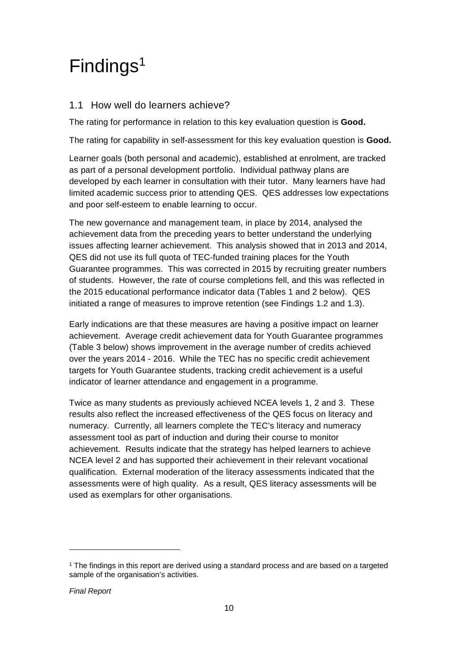## Findings<sup>1</sup>

#### 1.1 How well do learners achieve?

The rating for performance in relation to this key evaluation question is **Good.**

The rating for capability in self-assessment for this key evaluation question is **Good.**

Learner goals (both personal and academic), established at enrolment, are tracked as part of a personal development portfolio. Individual pathway plans are developed by each learner in consultation with their tutor. Many learners have had limited academic success prior to attending QES. QES addresses low expectations and poor self-esteem to enable learning to occur.

The new governance and management team, in place by 2014, analysed the achievement data from the preceding years to better understand the underlying issues affecting learner achievement. This analysis showed that in 2013 and 2014, QES did not use its full quota of TEC-funded training places for the Youth Guarantee programmes. This was corrected in 2015 by recruiting greater numbers of students. However, the rate of course completions fell, and this was reflected in the 2015 educational performance indicator data (Tables 1 and 2 below). QES initiated a range of measures to improve retention (see Findings 1.2 and 1.3).

Early indications are that these measures are having a positive impact on learner achievement. Average credit achievement data for Youth Guarantee programmes (Table 3 below) shows improvement in the average number of credits achieved over the years 2014 - 2016. While the TEC has no specific credit achievement targets for Youth Guarantee students, tracking credit achievement is a useful indicator of learner attendance and engagement in a programme.

Twice as many students as previously achieved NCEA levels 1, 2 and 3. These results also reflect the increased effectiveness of the QES focus on literacy and numeracy. Currently, all learners complete the TEC's literacy and numeracy assessment tool as part of induction and during their course to monitor achievement. Results indicate that the strategy has helped learners to achieve NCEA level 2 and has supported their achievement in their relevant vocational qualification. External moderation of the literacy assessments indicated that the assessments were of high quality. As a result, QES literacy assessments will be used as exemplars for other organisations.

l

<sup>1</sup> The findings in this report are derived using a standard process and are based on a targeted sample of the organisation's activities.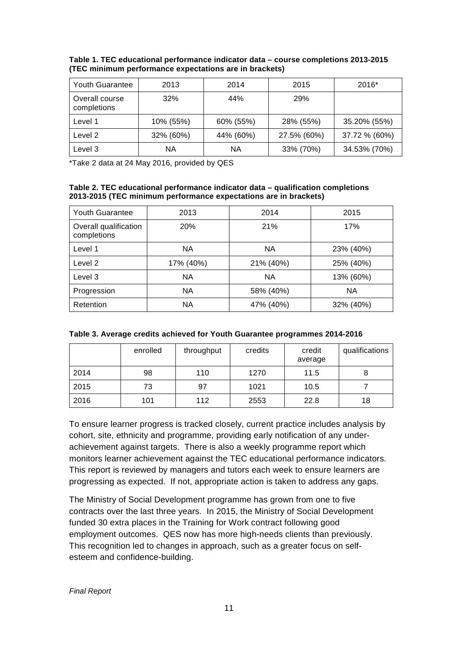| <b>Youth Guarantee</b>        | 2013      | 2014      | 2015        | $2016*$       |
|-------------------------------|-----------|-----------|-------------|---------------|
| Overall course<br>completions | 32%       | 44%       | 29%         |               |
| Level 1                       | 10% (55%) | 60% (55%) | 28% (55%)   | 35.20% (55%)  |
| Level 2                       | 32% (60%) | 44% (60%) | 27.5% (60%) | 37.72 % (60%) |
| Level 3                       | ΝA        | ΝA        | 33% (70%)   | 34.53% (70%)  |

**Table 1. TEC educational performance indicator data – course completions 2013-2015 (TEC minimum performance expectations are in brackets)** 

\*Take 2 data at 24 May 2016, provided by QES

#### **Table 2. TEC educational performance indicator data – qualification completions 2013-2015 (TEC minimum performance expectations are in brackets)**

| <b>Youth Guarantee</b>               | 2013      | 2014      | 2015      |
|--------------------------------------|-----------|-----------|-----------|
| Overall qualification<br>completions | 20%       | 21%       | 17%       |
| Level 1                              | <b>NA</b> | <b>NA</b> | 23% (40%) |
| Level 2                              | 17% (40%) | 21% (40%) | 25% (40%) |
| Level 3                              | <b>NA</b> | <b>NA</b> | 13% (60%) |
| Progression                          | <b>NA</b> | 58% (40%) | <b>NA</b> |
| Retention                            | <b>NA</b> | 47% (40%) | 32% (40%) |

| Table 3. Average credits achieved for Youth Guarantee programmes 2014-2016 |  |  |
|----------------------------------------------------------------------------|--|--|
|----------------------------------------------------------------------------|--|--|

|      | enrolled | throughput | credits | credit<br>average | qualifications |
|------|----------|------------|---------|-------------------|----------------|
| 2014 | 98       | 110        | 1270    | 11.5              | 8              |
| 2015 | 73       | 97         | 1021    | 10.5              |                |
| 2016 | 101      | 112        | 2553    | 22.8              | 18             |

To ensure learner progress is tracked closely, current practice includes analysis by cohort, site, ethnicity and programme, providing early notification of any underachievement against targets. There is also a weekly programme report which monitors learner achievement against the TEC educational performance indicators. This report is reviewed by managers and tutors each week to ensure learners are progressing as expected. If not, appropriate action is taken to address any gaps.

The Ministry of Social Development programme has grown from one to five contracts over the last three years. In 2015, the Ministry of Social Development funded 30 extra places in the Training for Work contract following good employment outcomes. QES now has more high-needs clients than previously. This recognition led to changes in approach, such as a greater focus on selfesteem and confidence-building.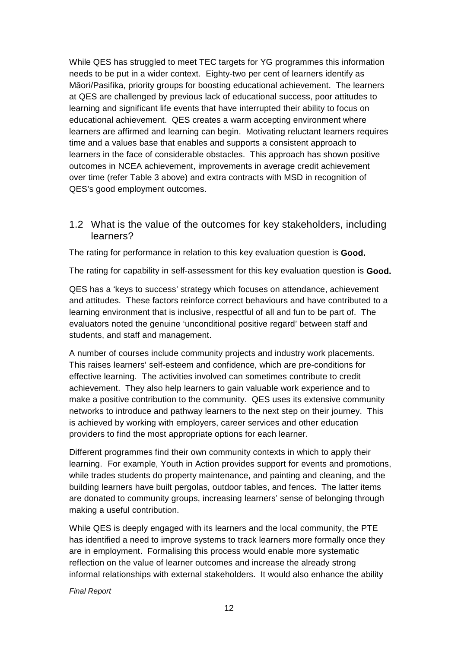While QES has struggled to meet TEC targets for YG programmes this information needs to be put in a wider context. Eighty-two per cent of learners identify as Māori/Pasifika, priority groups for boosting educational achievement. The learners at QES are challenged by previous lack of educational success, poor attitudes to learning and significant life events that have interrupted their ability to focus on educational achievement. QES creates a warm accepting environment where learners are affirmed and learning can begin. Motivating reluctant learners requires time and a values base that enables and supports a consistent approach to learners in the face of considerable obstacles. This approach has shown positive outcomes in NCEA achievement, improvements in average credit achievement over time (refer Table 3 above) and extra contracts with MSD in recognition of QES's good employment outcomes.

1.2 What is the value of the outcomes for key stakeholders, including learners?

The rating for performance in relation to this key evaluation question is **Good.**

The rating for capability in self-assessment for this key evaluation question is **Good.** 

QES has a 'keys to success' strategy which focuses on attendance, achievement and attitudes. These factors reinforce correct behaviours and have contributed to a learning environment that is inclusive, respectful of all and fun to be part of. The evaluators noted the genuine 'unconditional positive regard' between staff and students, and staff and management.

A number of courses include community projects and industry work placements. This raises learners' self-esteem and confidence, which are pre-conditions for effective learning. The activities involved can sometimes contribute to credit achievement. They also help learners to gain valuable work experience and to make a positive contribution to the community. QES uses its extensive community networks to introduce and pathway learners to the next step on their journey. This is achieved by working with employers, career services and other education providers to find the most appropriate options for each learner.

Different programmes find their own community contexts in which to apply their learning. For example, Youth in Action provides support for events and promotions, while trades students do property maintenance, and painting and cleaning, and the building learners have built pergolas, outdoor tables, and fences. The latter items are donated to community groups, increasing learners' sense of belonging through making a useful contribution.

While QES is deeply engaged with its learners and the local community, the PTE has identified a need to improve systems to track learners more formally once they are in employment. Formalising this process would enable more systematic reflection on the value of learner outcomes and increase the already strong informal relationships with external stakeholders. It would also enhance the ability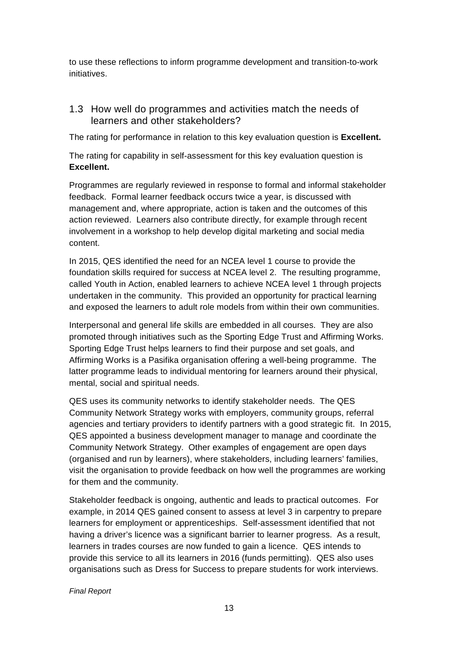to use these reflections to inform programme development and transition-to-work initiatives.

#### 1.3 How well do programmes and activities match the needs of learners and other stakeholders?

The rating for performance in relation to this key evaluation question is **Excellent.**

The rating for capability in self-assessment for this key evaluation question is **Excellent.**

Programmes are regularly reviewed in response to formal and informal stakeholder feedback. Formal learner feedback occurs twice a year, is discussed with management and, where appropriate, action is taken and the outcomes of this action reviewed. Learners also contribute directly, for example through recent involvement in a workshop to help develop digital marketing and social media content.

In 2015, QES identified the need for an NCEA level 1 course to provide the foundation skills required for success at NCEA level 2. The resulting programme, called Youth in Action, enabled learners to achieve NCEA level 1 through projects undertaken in the community. This provided an opportunity for practical learning and exposed the learners to adult role models from within their own communities.

Interpersonal and general life skills are embedded in all courses. They are also promoted through initiatives such as the Sporting Edge Trust and Affirming Works. Sporting Edge Trust helps learners to find their purpose and set goals, and Affirming Works is a Pasifika organisation offering a well-being programme. The latter programme leads to individual mentoring for learners around their physical, mental, social and spiritual needs.

QES uses its community networks to identify stakeholder needs. The QES Community Network Strategy works with employers, community groups, referral agencies and tertiary providers to identify partners with a good strategic fit. In 2015, QES appointed a business development manager to manage and coordinate the Community Network Strategy. Other examples of engagement are open days (organised and run by learners), where stakeholders, including learners' families, visit the organisation to provide feedback on how well the programmes are working for them and the community.

Stakeholder feedback is ongoing, authentic and leads to practical outcomes. For example, in 2014 QES gained consent to assess at level 3 in carpentry to prepare learners for employment or apprenticeships. Self-assessment identified that not having a driver's licence was a significant barrier to learner progress. As a result, learners in trades courses are now funded to gain a licence. QES intends to provide this service to all its learners in 2016 (funds permitting). QES also uses organisations such as Dress for Success to prepare students for work interviews.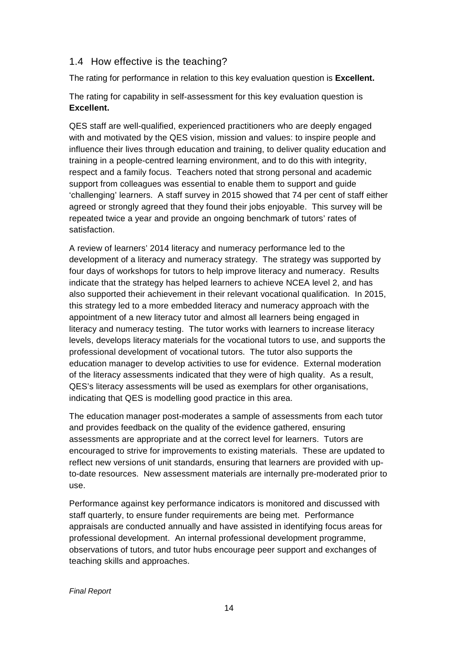#### 1.4 How effective is the teaching?

The rating for performance in relation to this key evaluation question is **Excellent.**

The rating for capability in self-assessment for this key evaluation question is **Excellent.** 

QES staff are well-qualified, experienced practitioners who are deeply engaged with and motivated by the QES vision, mission and values: to inspire people and influence their lives through education and training, to deliver quality education and training in a people-centred learning environment, and to do this with integrity, respect and a family focus. Teachers noted that strong personal and academic support from colleagues was essential to enable them to support and guide 'challenging' learners. A staff survey in 2015 showed that 74 per cent of staff either agreed or strongly agreed that they found their jobs enjoyable. This survey will be repeated twice a year and provide an ongoing benchmark of tutors' rates of satisfaction.

A review of learners' 2014 literacy and numeracy performance led to the development of a literacy and numeracy strategy. The strategy was supported by four days of workshops for tutors to help improve literacy and numeracy. Results indicate that the strategy has helped learners to achieve NCEA level 2, and has also supported their achievement in their relevant vocational qualification. In 2015, this strategy led to a more embedded literacy and numeracy approach with the appointment of a new literacy tutor and almost all learners being engaged in literacy and numeracy testing. The tutor works with learners to increase literacy levels, develops literacy materials for the vocational tutors to use, and supports the professional development of vocational tutors. The tutor also supports the education manager to develop activities to use for evidence. External moderation of the literacy assessments indicated that they were of high quality. As a result, QES's literacy assessments will be used as exemplars for other organisations, indicating that QES is modelling good practice in this area.

The education manager post-moderates a sample of assessments from each tutor and provides feedback on the quality of the evidence gathered, ensuring assessments are appropriate and at the correct level for learners. Tutors are encouraged to strive for improvements to existing materials. These are updated to reflect new versions of unit standards, ensuring that learners are provided with upto-date resources. New assessment materials are internally pre-moderated prior to use.

Performance against key performance indicators is monitored and discussed with staff quarterly, to ensure funder requirements are being met. Performance appraisals are conducted annually and have assisted in identifying focus areas for professional development. An internal professional development programme, observations of tutors, and tutor hubs encourage peer support and exchanges of teaching skills and approaches.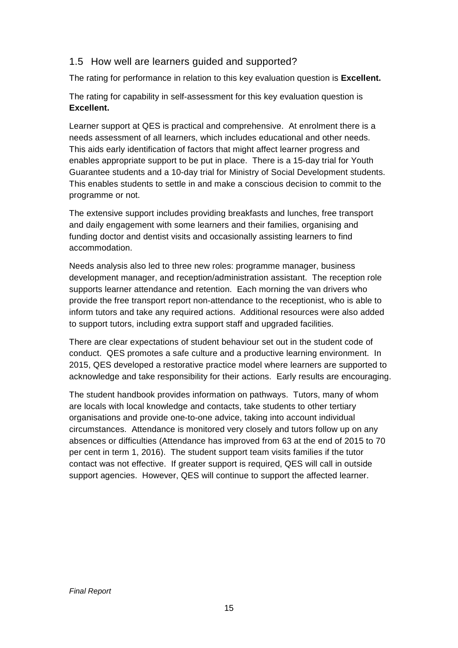#### 1.5 How well are learners guided and supported?

The rating for performance in relation to this key evaluation question is **Excellent.**

The rating for capability in self-assessment for this key evaluation question is **Excellent.** 

Learner support at QES is practical and comprehensive. At enrolment there is a needs assessment of all learners, which includes educational and other needs. This aids early identification of factors that might affect learner progress and enables appropriate support to be put in place. There is a 15-day trial for Youth Guarantee students and a 10-day trial for Ministry of Social Development students. This enables students to settle in and make a conscious decision to commit to the programme or not.

The extensive support includes providing breakfasts and lunches, free transport and daily engagement with some learners and their families, organising and funding doctor and dentist visits and occasionally assisting learners to find accommodation.

Needs analysis also led to three new roles: programme manager, business development manager, and reception/administration assistant. The reception role supports learner attendance and retention. Each morning the van drivers who provide the free transport report non-attendance to the receptionist, who is able to inform tutors and take any required actions. Additional resources were also added to support tutors, including extra support staff and upgraded facilities.

There are clear expectations of student behaviour set out in the student code of conduct. QES promotes a safe culture and a productive learning environment. In 2015, QES developed a restorative practice model where learners are supported to acknowledge and take responsibility for their actions. Early results are encouraging.

The student handbook provides information on pathways. Tutors, many of whom are locals with local knowledge and contacts, take students to other tertiary organisations and provide one-to-one advice, taking into account individual circumstances. Attendance is monitored very closely and tutors follow up on any absences or difficulties (Attendance has improved from 63 at the end of 2015 to 70 per cent in term 1, 2016). The student support team visits families if the tutor contact was not effective. If greater support is required, QES will call in outside support agencies. However, QES will continue to support the affected learner.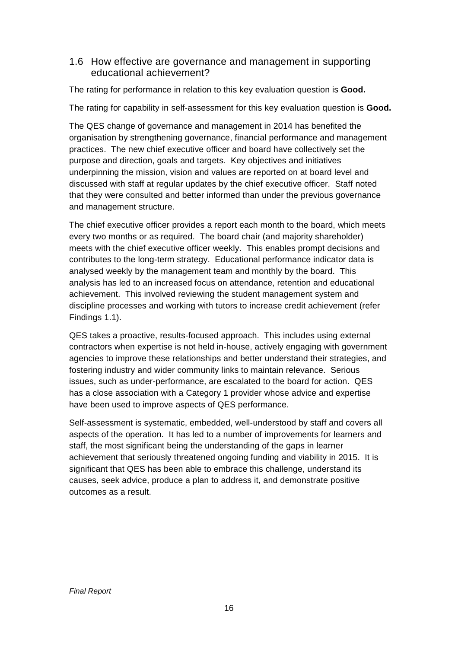#### 1.6 How effective are governance and management in supporting educational achievement?

The rating for performance in relation to this key evaluation question is **Good.**

The rating for capability in self-assessment for this key evaluation question is **Good.**

The QES change of governance and management in 2014 has benefited the organisation by strengthening governance, financial performance and management practices. The new chief executive officer and board have collectively set the purpose and direction, goals and targets. Key objectives and initiatives underpinning the mission, vision and values are reported on at board level and discussed with staff at regular updates by the chief executive officer. Staff noted that they were consulted and better informed than under the previous governance and management structure.

The chief executive officer provides a report each month to the board, which meets every two months or as required. The board chair (and majority shareholder) meets with the chief executive officer weekly. This enables prompt decisions and contributes to the long-term strategy. Educational performance indicator data is analysed weekly by the management team and monthly by the board. This analysis has led to an increased focus on attendance, retention and educational achievement. This involved reviewing the student management system and discipline processes and working with tutors to increase credit achievement (refer Findings 1.1).

QES takes a proactive, results-focused approach. This includes using external contractors when expertise is not held in-house, actively engaging with government agencies to improve these relationships and better understand their strategies, and fostering industry and wider community links to maintain relevance. Serious issues, such as under-performance, are escalated to the board for action. QES has a close association with a Category 1 provider whose advice and expertise have been used to improve aspects of QES performance.

Self-assessment is systematic, embedded, well-understood by staff and covers all aspects of the operation. It has led to a number of improvements for learners and staff, the most significant being the understanding of the gaps in learner achievement that seriously threatened ongoing funding and viability in 2015. It is significant that QES has been able to embrace this challenge, understand its causes, seek advice, produce a plan to address it, and demonstrate positive outcomes as a result.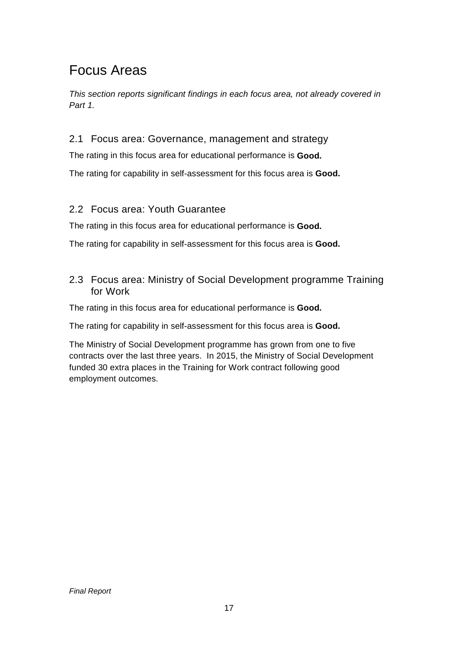### Focus Areas

This section reports significant findings in each focus area, not already covered in Part 1.

#### 2.1 Focus area: Governance, management and strategy

The rating in this focus area for educational performance is **Good.**

The rating for capability in self-assessment for this focus area is **Good.** 

#### 2.2 Focus area: Youth Guarantee

The rating in this focus area for educational performance is **Good.**

The rating for capability in self-assessment for this focus area is **Good.** 

2.3 Focus area: Ministry of Social Development programme Training for Work

The rating in this focus area for educational performance is **Good.** 

The rating for capability in self-assessment for this focus area is **Good.** 

The Ministry of Social Development programme has grown from one to five contracts over the last three years. In 2015, the Ministry of Social Development funded 30 extra places in the Training for Work contract following good employment outcomes.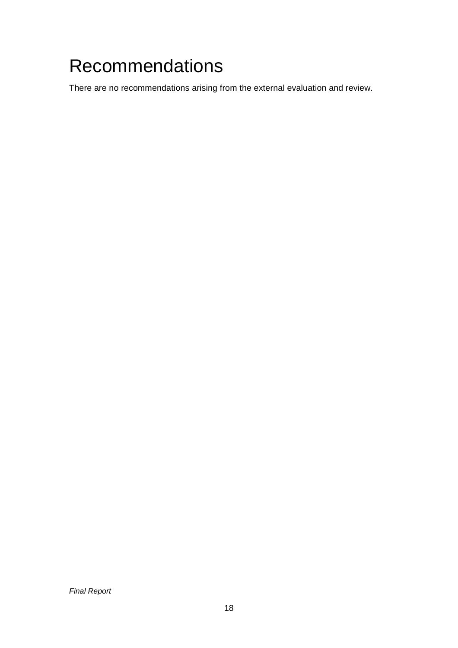## Recommendations

There are no recommendations arising from the external evaluation and review.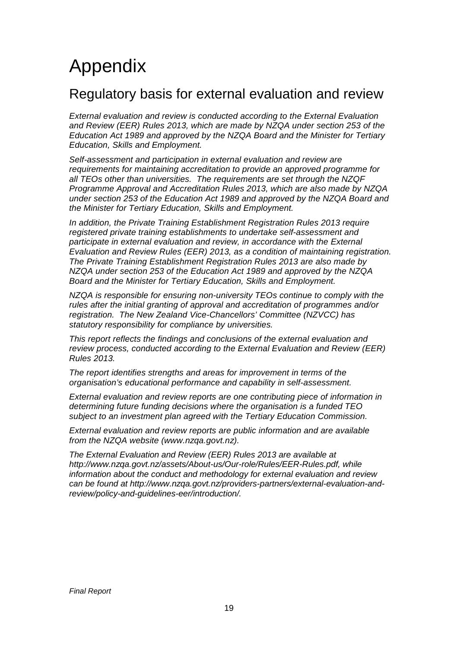## Appendix

### Regulatory basis for external evaluation and review

External evaluation and review is conducted according to the External Evaluation and Review (EER) Rules 2013, which are made by NZQA under section 253 of the Education Act 1989 and approved by the NZQA Board and the Minister for Tertiary Education, Skills and Employment.

Self-assessment and participation in external evaluation and review are requirements for maintaining accreditation to provide an approved programme for all TEOs other than universities. The requirements are set through the NZQF Programme Approval and Accreditation Rules 2013, which are also made by NZQA under section 253 of the Education Act 1989 and approved by the NZQA Board and the Minister for Tertiary Education, Skills and Employment.

In addition, the Private Training Establishment Registration Rules 2013 require registered private training establishments to undertake self-assessment and participate in external evaluation and review, in accordance with the External Evaluation and Review Rules (EER) 2013, as a condition of maintaining registration. The Private Training Establishment Registration Rules 2013 are also made by NZQA under section 253 of the Education Act 1989 and approved by the NZQA Board and the Minister for Tertiary Education, Skills and Employment.

NZQA is responsible for ensuring non-university TEOs continue to comply with the rules after the initial granting of approval and accreditation of programmes and/or registration. The New Zealand Vice-Chancellors' Committee (NZVCC) has statutory responsibility for compliance by universities.

This report reflects the findings and conclusions of the external evaluation and review process, conducted according to the External Evaluation and Review (EER) Rules 2013.

The report identifies strengths and areas for improvement in terms of the organisation's educational performance and capability in self-assessment.

External evaluation and review reports are one contributing piece of information in determining future funding decisions where the organisation is a funded TEO subject to an investment plan agreed with the Tertiary Education Commission.

External evaluation and review reports are public information and are available from the NZQA website (www.nzqa.govt.nz).

The External Evaluation and Review (EER) Rules 2013 are available at http://www.nzqa.govt.nz/assets/About-us/Our-role/Rules/EER-Rules.pdf, while information about the conduct and methodology for external evaluation and review can be found at http://www.nzqa.govt.nz/providers-partners/external-evaluation-andreview/policy-and-guidelines-eer/introduction/.